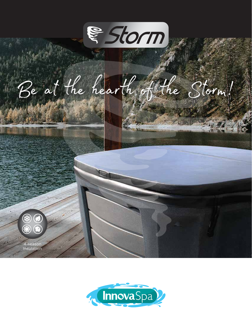

Be at the hearth of the Storm!



4-season nsulation

 $\bar{\textcircled{\circ}}$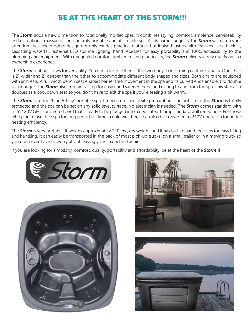## BE AT THE HEART OF THE STORM!!!

The *Storm* adds a new dimension to rotationally molded spas. It combines styling, comfort, ambience, serviceability and exceptional massage all in one truly portable and affordable spa. As its name suggests, the **Storm** will catch your attention. Its sleek, modern design not only exudes practical features, but it also blusters with features like a back lit, cascading waterfall, external LED sconce lighting, hand recesses for easy portability and 100% accessibility to the plumbing and equipment. With unequaled comfort, ambience and practicality, the *Storm* delivers a truly gratifying spa ownership experience.

The *Storm* seating allows for versatility. You can relax in either of the two body-conforming captain's chairs. One chair is 2" wider and 2" deeper than the other to accommodate different body shapes and sizes. Both chairs are equipped with armrests. A full width bench seat enables barrier free movement in the spa and its curved ends enable it to double as a lounger. The *Storm* also contains a step for easier and safer entering and exiting to and from the spa. This step also doubles as a cool down seat so you don't have to exit the spa if you're feeling a bit warm.

The *Storm* is a true "Plug & Play" portable spa. It needs no special site preparation. The bottom of the *Storm* is totally protected and the spa can be set on any solid level surface. No electrician is needed. The *Storm* comes standard with a 15', 120V GFCI-protected cord that is ready to be plugged into a dedicated 15amp standard wall receptacle. For those who plan to use their spa for long periods of time in cold weather, it can also be converted to 240V operation for better heating efficiency.

The *Storm* is very portable. It weighs approximately 320 lbs., dry weight, and it has built in hand recesses for easy lifting and handling. It can easily be transported in the back of most pick-up trucks, on a small trailer or in a moving truck so you don't ever have to worry about leaving your spa behind again.

If you are looking for simplicity, comfort, quality, portability and affordability, be at the heart of the **Storm**!!!







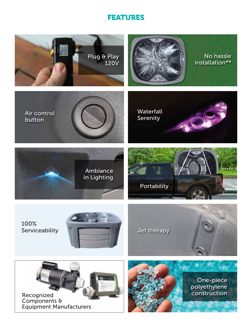### FEATURES